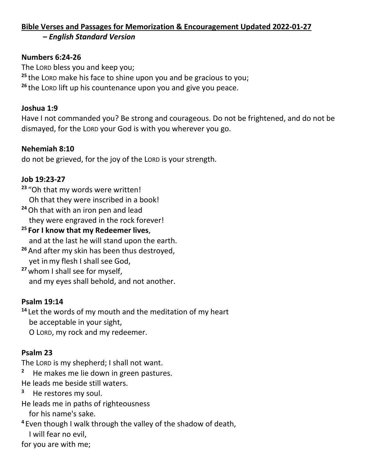#### **Bible Verses and Passages for Memorization & Encouragement Updated 2022-01-27 –** *English Standard Version*

### **Numbers 6:24-26**

The LORD bless you and keep you; **<sup>25</sup>** the LORD make his face to shine upon you and be gracious to you; **<sup>26</sup>** the LORD lift up his countenance upon you and give you peace.

### **Joshua 1:9**

Have I not commanded you? Be strong and courageous. Do not be frightened, and do not be dismayed, for the LORD your God is with you wherever you go.

### **Nehemiah 8:10**

do not be grieved, for the joy of the LORD is your strength.

### **Job 19:23-27**

**<sup>23</sup>** "Oh that my words were written!

Oh that they were inscribed in a book!

- **<sup>24</sup>**Oh that with an iron pen and lead they were engraved in the rock forever!
- **<sup>25</sup> For I know that my Redeemer lives**, and at the last he will stand upon the earth.
- **<sup>26</sup>** And after my skin has been thus destroyed, yet inmy flesh I shall see God,
- **<sup>27</sup>** whom I shall see for myself, and my eyes shall behold, and not another.

### **Psalm 19:14**

**<sup>14</sup>** Let the words of my mouth and the meditation of my heart be acceptable in your sight,

O LORD, my rock and my redeemer.

### **Psalm 23**

The LORD is my shepherd; I shall not want.

**2** He makes me lie down in green pastures.

He leads me beside still waters.

- **3** He restores my soul.
- He leads me in paths of righteousness

for his name's sake.

**<sup>4</sup>** Even though I walk through the valley of the shadow of death, I will fear no evil,

for you are with me;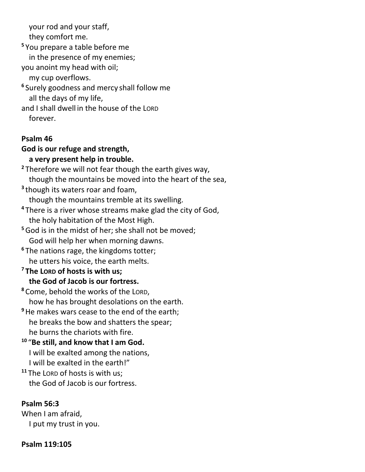your rod and your staff,

they comfort me.

**<sup>5</sup>** You prepare a table before me in the presence of my enemies;

you anoint my head with oil;

my cup overflows.

**6** Surely goodness and mercy shall follow me all the days of my life,

and I shall dwell in the house of the LORD forever.

### **Psalm 46**

### **God is our refuge and strength,**

### **a very present help in trouble.**

**<sup>2</sup>** Therefore we will not fear though the earth gives way, though the mountains be moved into the heart of the sea, **3** though its waters roar and foam, though the mountains tremble at its swelling. **<sup>4</sup>** There is a river whose streams make glad the city of God, the holy habitation of the Most High. **<sup>5</sup>**God is in the midst of her; she shall not be moved; God will help her when morning dawns.

**<sup>6</sup>** The nations rage, the kingdoms totter; he utters his voice, the earth melts.

### **<sup>7</sup> The LORD of hosts is with us; the God of Jacob is our fortress.**

**<sup>8</sup>** Come, behold the works of the LORD, how he has brought desolations on the earth.

**<sup>9</sup>**He makes wars cease to the end of the earth; he breaks the bow and shatters the spear; he burns the chariots with fire.

**10** "**Be still, and know that I am God.** I will be exalted among the nations, I will be exalted in the earth!"

**<sup>11</sup>** The LORD of hosts is with us; the God of Jacob is our fortress.

### **Psalm 56:3**

When I am afraid, I put my trust in you.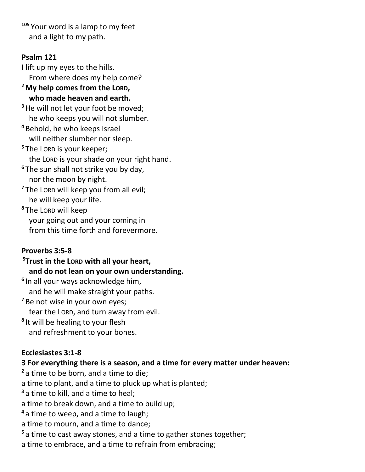**<sup>105</sup>** Your word is a lamp to my feet and a light to my path.

### **Psalm 121**

I lift up my eyes to the hills. From where does my help come? **<sup>2</sup>My help comes from the LORD,**

 **who made heaven and earth. <sup>3</sup>**He will not let your foot be moved;

he who keeps you will not slumber.

**<sup>4</sup>** Behold, he who keeps Israel

will neither slumber nor sleep.

- **<sup>5</sup>** The LORD is your keeper; the LORD is your shade on your right hand. **<sup>6</sup>** The sun shall not strike you by day, nor the moon by night.
- **<sup>7</sup>** The LORD will keep you from all evil; he will keep your life.

**<sup>8</sup>** The LORD will keep your going out and your coming in from this time forth and forevermore.

### **Proverbs 3:5-8**

**<sup>5</sup>Trust in the LORD with all your heart, and do not lean on your own understanding. 6** In all your ways acknowledge him, and he will make straight your paths. **<sup>7</sup>** Be not wise in your own eyes; fear the LORD, and turn away from evil. **8** It will be healing to your flesh and refreshment to your bones.

### **Ecclesiastes 3:1-8**

### **3 For everything there is a season, and a time for every matter under heaven:**

**<sup>2</sup>** a time to be born, and a time to die;

a time to plant, and a time to pluck up what is planted;

**<sup>3</sup>** a time to kill, and a time to heal;

a time to break down, and a time to build up;

**<sup>4</sup>** a time to weep, and a time to laugh;

a time to mourn, and a time to dance;

**<sup>5</sup>** a time to cast away stones, and a time to gather stones together;

a time to embrace, and a time to refrain from embracing;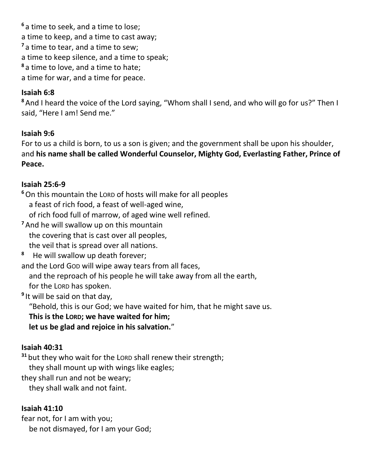**<sup>6</sup>** a time to seek, and a time to lose; a time to keep, and a time to cast away; **<sup>7</sup>** a time to tear, and a time to sew; a time to keep silence, and a time to speak; **<sup>8</sup>** a time to love, and a time to hate; a time for war, and a time for peace.

### **Isaiah 6:8**

**<sup>8</sup>** And I heard the voice of the Lord saying, "Whom shall I send, and who will go for us?" Then I said, "Here I am! Send me."

### **Isaiah 9:6**

For to us a child is born, to us a son is given; and the government shall be upon his shoulder, and **his name shall be called Wonderful Counselor, Mighty God, Everlasting Father, Prince of Peace.**

### **Isaiah 25:6-9**

**<sup>6</sup>**On this mountain the LORD of hosts will make for all peoples a feast of rich food, a feast of well-aged wine, of rich food full of marrow, of aged wine well refined.

- **<sup>7</sup>** And he will swallow up on this mountain the covering that is cast over all peoples, the veil that is spread over all nations.
- **8** He will swallow up death forever;

and the Lord GOD will wipe away tears from all faces,

and the reproach of his people he will take away from all the earth,

for the LORD has spoken.

**9** It will be said on that day,

"Behold, this is our God; we have waited for him, that he might save us.

**This is the LORD; we have waited for him;**

 **let us be glad and rejoice in his salvation.**"

### **Isaiah 40:31**

**<sup>31</sup>** but they who wait for the LORD shall renew their strength;

they shall mount up with wings like eagles;

they shall run and not be weary;

they shall walk and not faint.

### **Isaiah 41:10**

fear not, for I am with you; be not dismayed, for I am your God;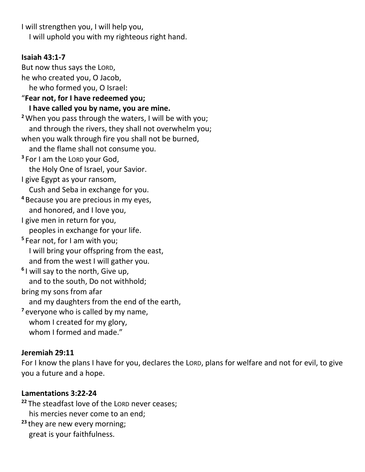I will strengthen you, I will help you, I will uphold you with my righteous right hand.

### **Isaiah 43:1-7**

But now thus says the LORD, he who created you, O Jacob, he who formed you, O Israel: "**Fear not, for I have redeemed you; I have called you by name, you are mine. <sup>2</sup>**When you pass through the waters, I will be with you; and through the rivers, they shall not overwhelm you; when you walk through fire you shall not be burned, and the flame shall not consume you. **3** For I am the LORD your God, the Holy One of Israel, your Savior. I give Egypt as your ransom, Cush and Seba in exchange for you. **<sup>4</sup>** Because you are precious in my eyes, and honored, and I love you, I give men in return for you, peoples in exchange for your life. **5** Fear not, for I am with you; I will bring your offspring from the east, and from the west I will gather you. **6** I will say to the north, Give up, and to the south, Do not withhold; bring my sons from afar and my daughters from the end of the earth, **<sup>7</sup>** everyone who is called by my name, whom I created for my glory, whom I formed and made."

### **Jeremiah 29:11**

For I know the plans I have for you, declares the LORD, plans for welfare and not for evil, to give you a future and a hope.

### **Lamentations 3:22-24**

**<sup>22</sup>** The steadfast love of the LORD never ceases; his mercies never come to an end;

**<sup>23</sup>** they are new every morning; great is your faithfulness.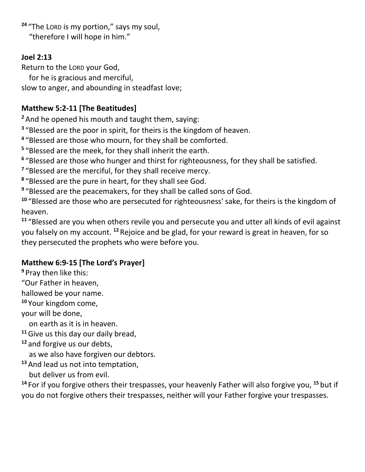**<sup>24</sup>** "The LORD is my portion," says my soul, "therefore I will hope in him."

### **Joel 2:13**

Return to the LORD your God,

for he is gracious and merciful,

slow to anger, and abounding in steadfast love;

### **Matthew 5:2-11 [The Beatitudes]**

**<sup>2</sup>** And he opened his mouth and taught them, saying:

<sup>3</sup> "Blessed are the poor in spirit, for theirs is the kingdom of heaven.

**4** "Blessed are those who mourn, for they shall be comforted.

**5** "Blessed are the meek, for they shall inherit the earth.

**6** "Blessed are those who hunger and thirst for righteousness, for they shall be satisfied.

<sup>7</sup> "Blessed are the merciful, for they shall receive mercy.

**8** "Blessed are the pure in heart, for they shall see God.

**9** "Blessed are the peacemakers, for they shall be called sons of God.

**<sup>10</sup>** "Blessed are those who are persecuted for righteousness' sake, for theirs is the kingdom of heaven.

**<sup>11</sup>** "Blessed are you when others revile you and persecute you and utter all kinds of evil against you falsely on my account. **<sup>12</sup>** Rejoice and be glad, for your reward is great in heaven, for so they persecuted the prophets who were before you.

## **Matthew 6:9-15 [The Lord's Prayer]**

**<sup>9</sup>** Pray then like this:

"Our Father in heaven,

hallowed be your name.

**<sup>10</sup>** Your kingdom come,

your will be done,

on earth as it is in heaven.

**<sup>11</sup>**Give us this day our daily bread,

### **<sup>12</sup>** and forgive us our debts,

as we also have forgiven our debtors.

**<sup>13</sup>** And lead us not into temptation,

but deliver us from evil.

**<sup>14</sup>** For if you forgive others their trespasses, your heavenly Father will also forgive you, **<sup>15</sup>** but if you do not forgive others their trespasses, neither will your Father forgive your trespasses.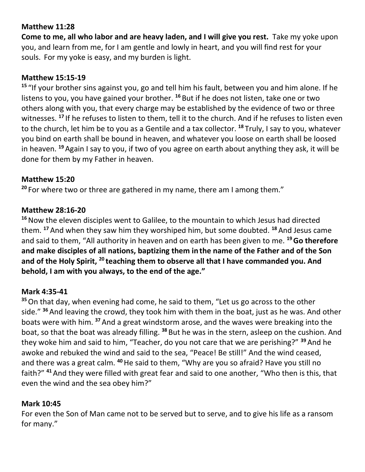### **Matthew 11:28**

**Come to me, all who labor and are heavy laden, and I will give you rest.** Take my yoke upon you, and learn from me, for I am gentle and lowly in heart, and you will find rest for your souls. For my yoke is easy, and my burden is light.

### **Matthew 15:15-19**

**<sup>15</sup>** "If your brother sins against you, go and tell him his fault, between you and him alone. If he listens to you, you have gained your brother. **<sup>16</sup>** But if he does not listen, take one or two others along with you, that every charge may be established by the evidence of two or three witnesses. **<sup>17</sup>** If he refuses to listen to them, tell it to the church. And if he refuses to listen even to the church, let him be to you as a Gentile and a tax collector. **<sup>18</sup>** Truly, I say to you, whatever you bind on earth shall be bound in heaven, and whatever you loose on earth shall be loosed in heaven. **<sup>19</sup>** Again I say to you, if two of you agree on earth about anything they ask, it will be done for them by my Father in heaven.

### **Matthew 15:20**

**<sup>20</sup>** For where two or three are gathered in my name, there am I among them."

### **Matthew 28:16-20**

**<sup>16</sup>**Now the eleven disciples went to Galilee, to the mountain to which Jesus had directed them. **<sup>17</sup>** And when they saw him they worshiped him, but some doubted. **<sup>18</sup>** And Jesus came and said to them, "All authority in heaven and on earth has been given to me. **<sup>19</sup>Go therefore and make disciples of all nations, baptizing them in the name of the Father and of the Son and of the Holy Spirit, <sup>20</sup> teaching them to observe all that I have commanded you. And behold, I am with you always, to the end of the age."**

### **Mark 4:35-41**

**<sup>35</sup>**On that day, when evening had come, he said to them, "Let us go across to the other side." **<sup>36</sup>** And leaving the crowd, they took him with them in the boat, just as he was. And other boats were with him. **<sup>37</sup>** And a great windstorm arose, and the waves were breaking into the boat, so that the boat was already filling. **<sup>38</sup>** But he was in the stern, asleep on the cushion. And they woke him and said to him, "Teacher, do you not care that we are perishing?" **<sup>39</sup>** And he awoke and rebuked the wind and said to the sea, "Peace! Be still!" And the wind ceased, and there was a great calm. **<sup>40</sup>**He said to them, "Why are you so afraid? Have you still no faith?" **<sup>41</sup>**And they were filled with great fear and said to one another, "Who then is this, that even the wind and the sea obey him?"

### **Mark 10:45**

For even the Son of Man came not to be served but to serve, and to give his life as a ransom for many."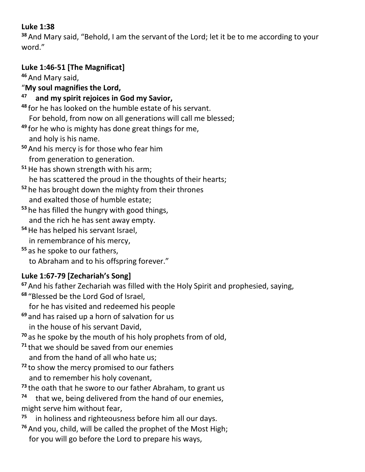### **Luke 1:38**

**<sup>38</sup>** And Mary said, "Behold, I am the servant of the Lord; let it be to me according to your word."

## **Luke 1:46-51 [The Magnificat]**

**<sup>46</sup>** And Mary said,

"**My soul magnifies the Lord,**

#### **47 and my spirit rejoices in God my Savior,**

**<sup>48</sup>** for he has looked on the humble estate of his servant.

For behold, from now on all generations will call me blessed;

- **<sup>49</sup>** for he who is mighty has done great things for me,
- and holy is his name. **<sup>50</sup>** And his mercy is for those who fear him
- from generation to generation.
- **<sup>51</sup>**He has shown strength with his arm;
	- he has scattered the proud in the thoughts of their hearts;
- **<sup>52</sup>** he has brought down the mighty from their thrones and exalted those of humble estate;
- **<sup>53</sup>** he has filled the hungry with good things, and the rich he has sent away empty.
- **<sup>54</sup>**He has helped his servant Israel, in remembrance of his mercy,
- **<sup>55</sup>** as he spoke to our fathers, to Abraham and to his offspring forever."

# **Luke 1:67-79 [Zechariah's Song]**

**<sup>67</sup>** And his father Zechariah was filled with the Holy Spirit and prophesied, saying, **<sup>68</sup>** "Blessed be the Lord God of Israel,

- for he has visited and redeemed his people
- **<sup>69</sup>** and has raised up a horn of salvation for us
	- in the house of his servant David,
- **<sup>70</sup>** as he spoke by the mouth of his holy prophets from of old,
- **<sup>71</sup>** that we should be saved from our enemies and from the hand of all who hate us;
- **<sup>72</sup>** to show the mercy promised to our fathers and to remember his holy covenant,
- **<sup>73</sup>** the oath that he swore to our father Abraham, to grant us
- **74** that we, being delivered from the hand of our enemies, might serve him without fear,
- **75** in holiness and righteousness before him all our days.
- **<sup>76</sup>** And you, child, will be called the prophet of the Most High;
	- for you will go before the Lord to prepare his ways,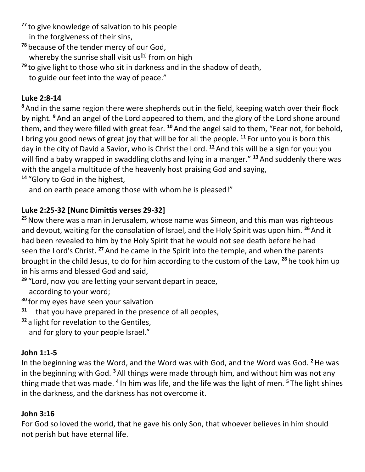**<sup>77</sup>** to give knowledge of salvation to his people in the forgiveness of their sins,

**<sup>78</sup>** because of the tender mercy of our God,

whereby the sunrise shall visit us $[h]$  from on high

**<sup>79</sup>** to give light to those who sit in darkness and in the shadow of death,

to guide our feet into the way of peace."

### **Luke 2:8-14**

**<sup>8</sup>** And in the same region there were shepherds out in the field, keeping watch over their flock by night. **<sup>9</sup>** And an angel of the Lord appeared to them, and the glory of the Lord shone around them, and they were filled with great fear. **<sup>10</sup>** And the angel said to them, "Fear not, for behold, I bring you good news of great joy that will be for all the people. **<sup>11</sup>** For unto you is born this day in the city of David a Savior, who is Christ the Lord. **<sup>12</sup>** And this will be a sign for you: you will find a baby wrapped in swaddling cloths and lying in a manger." **<sup>13</sup>** And suddenly there was with the angel a multitude of the heavenly host praising God and saying, **<sup>14</sup>** "Glory to God in the highest,

and on earth peace among those with whom he is pleased!"

### **Luke 2:25-32 [Nunc Dimittis verses 29-32]**

**<sup>25</sup>**Now there was a man in Jerusalem, whose name was Simeon, and this man was righteous and devout, waiting for the consolation of Israel, and the Holy Spirit was upon him. **<sup>26</sup>**And it had been revealed to him by the Holy Spirit that he would not see death before he had seen the Lord's Christ. **<sup>27</sup>** And he came in the Spirit into the temple, and when the parents brought in the child Jesus, to do for him according to the custom of the Law, **<sup>28</sup>** he took him up in his arms and blessed God and said,

**<sup>29</sup>** "Lord, now you are letting your servant depart in peace, according to your word;

**<sup>30</sup>** for my eyes have seen your salvation

**31** that you have prepared in the presence of all peoples,

**<sup>32</sup>** a light for revelation to the Gentiles,

and for glory to your people Israel."

### **John 1:1-5**

In the beginning was the Word, and the Word was with God, and the Word was God. **<sup>2</sup>**He was in the beginning with God. **<sup>3</sup>** All things were made through him, and without him was not any thing made that was made. **<sup>4</sup>** In him was life, and the life was the light of men. **<sup>5</sup>** The light shines in the darkness, and the darkness has not overcome it.

### **John 3:16**

For God so loved the world, that he gave his only Son, that whoever believes in him should not perish but have eternal life.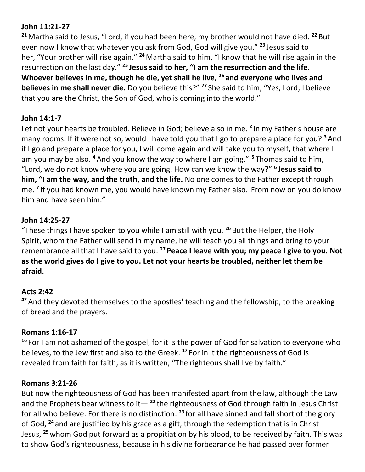### **John 11:21-27**

**<sup>21</sup>** Martha said to Jesus, "Lord, if you had been here, my brother would not have died. **<sup>22</sup>** But even now I know that whatever you ask from God, God will give you." **<sup>23</sup>** Jesus said to her, "Your brother will rise again." **<sup>24</sup>** Martha said to him, "I know that he will rise again in the resurrection on the last day." **<sup>25</sup> Jesus said to her, "I am the resurrection and the life. Whoever believes in me, though he die, yet shall he live, <sup>26</sup> and everyone who lives and believes in me shall never die.** Do you believe this?" **<sup>27</sup>** She said to him, "Yes, Lord; I believe that you are the Christ, the Son of God, who is coming into the world."

### **John 14:1-7**

Let not your hearts be troubled. Believe in God; believe also in me. **<sup>2</sup>** In my Father's house are many rooms. If it were not so, would I have told you that I go to prepare a place for you? **<sup>3</sup>** And if I go and prepare a place for you, I will come again and will take you to myself, that where I am you may be also. **<sup>4</sup>** And you know the way to where I am going." **<sup>5</sup>** Thomas said to him, "Lord, we do not know where you are going. How can we know the way?" **<sup>6</sup> Jesus said to him, "I am the way, and the truth, and the life.** No one comes to the Father except through me. **<sup>7</sup>** If you had known me, you would have known my Father also. From now on you do know him and have seen him."

### **John 14:25-27**

"These things I have spoken to you while I am still with you. **<sup>26</sup>** But the Helper, the Holy Spirit, whom the Father will send in my name, he will teach you all things and bring to your remembrance all that I have said to you. **<sup>27</sup> Peace I leave with you; my peace I give to you. Not as the world gives do I give to you. Let not your hearts be troubled, neither let them be afraid.**

### **Acts 2:42**

**<sup>42</sup>** And they devoted themselves to the apostles' teaching and the fellowship, to the breaking of bread and the prayers.

### **Romans 1:16-17**

**<sup>16</sup>** For I am not ashamed of the gospel, for it is the power of God for salvation to everyone who believes, to the Jew first and also to the Greek. **<sup>17</sup>** For in it the righteousness of God is revealed from faith for faith, as it is written, "The righteous shall live by faith."

### **Romans 3:21-26**

But now the righteousness of God has been manifested apart from the law, although the Law and the Prophets bear witness to it— **<sup>22</sup>** the righteousness of God through faith in Jesus Christ for all who believe. For there is no distinction: **<sup>23</sup>** for all have sinned and fall short of the glory of God, **<sup>24</sup>** and are justified by his grace as a gift, through the redemption that is in Christ Jesus, **<sup>25</sup>** whom God put forward as a propitiation by his blood, to be received by faith. This was to show God's righteousness, because in his divine forbearance he had passed over former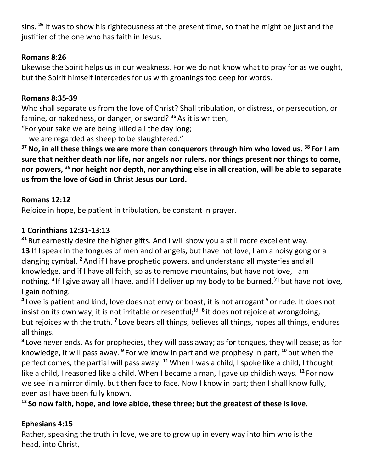sins. **<sup>26</sup>** It was to show his righteousness at the present time, so that he might be just and the justifier of the one who has faith in Jesus.

### **Romans 8:26**

Likewise the Spirit helps us in our weakness. For we do not know what to pray for as we ought, but the Spirit himself intercedes for us with groanings too deep for words.

### **Romans 8:35-39**

Who shall separate us from the love of Christ? Shall tribulation, or distress, or persecution, or famine, or nakedness, or danger, or sword? **<sup>36</sup>** As it is written,

"For your sake we are being killed all the day long;

we are regarded as sheep to be slaughtered."

**<sup>37</sup>No, in all these things we are more than conquerors through him who loved us. <sup>38</sup> For I am sure that neither death nor life, nor angels nor rulers, nor things present nor things to come, nor powers, <sup>39</sup> nor height nor depth, nor anything else in all creation, will be able to separate us from the love of God in Christ Jesus our Lord.**

### **Romans 12:12**

Rejoice in hope, be patient in tribulation, be constant in prayer.

### **1 Corinthians 12:31-13:13**

**<sup>31</sup>** But earnestly desire the higher gifts. And I will show you a still more excellent way. 13 If I speak in the tongues of men and of angels, but have not love, I am a noisy gong or a clanging cymbal. **<sup>2</sup>** And if I have prophetic powers, and understand all mysteries and all knowledge, and if I have all faith, so as to remove mountains, but have not love, I am nothing. <sup>3</sup> If I give away all I have, and if I deliver up my body to be burned,<sup>[\[c\]](https://www.biblegateway.com/passage/?search=1+Corinthians+12%3A12-13%3A31&version=ESV#fen-ESV-28652c)</sup> but have not love, I gain nothing.

**4** Love is patient and kind; love does not envy or boast; it is not arrogant **<sup>5</sup>** or rude. It does not insist on its own way; it is not irritable or resentful;<sup>[\[d\]](https://www.biblegateway.com/passage/?search=1+Corinthians+12%3A12-13%3A31&version=ESV#fen-ESV-28654d) 6</sup> it does not rejoice at wrongdoing, but rejoices with the truth. **<sup>7</sup>** Love bears all things, believes all things, hopes all things, endures all things.

**8** Love never ends. As for prophecies, they will pass away; as for tongues, they will cease; as for knowledge, it will pass away. **<sup>9</sup>** For we know in part and we prophesy in part, **<sup>10</sup>** but when the perfect comes, the partial will pass away. **<sup>11</sup>**When I was a child, I spoke like a child, I thought like a child, I reasoned like a child. When I became a man, I gave up childish ways. **<sup>12</sup>** For now we see in a mirror dimly, but then face to face. Now I know in part; then I shall know fully, even as I have been fully known.

**<sup>13</sup> So now faith, hope, and love abide, these three; but the greatest of these is love.**

### **Ephesians 4:15**

Rather, speaking the truth in love, we are to grow up in every way into him who is the head, into Christ,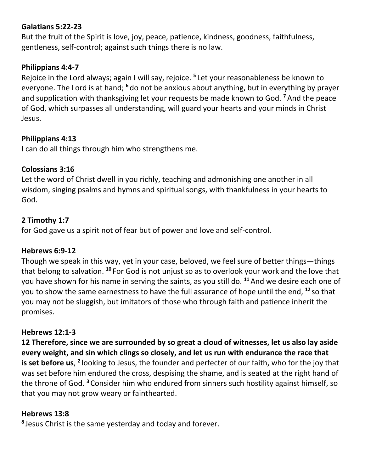### **Galatians 5:22-23**

But the fruit of the Spirit is love, joy, peace, patience, kindness, goodness, faithfulness, gentleness, self-control; against such things there is no law.

### **Philippians 4:4-7**

Rejoice in the Lord always; again I will say, rejoice. **<sup>5</sup>** Let your reasonableness be known to everyone. The Lord is at hand; **<sup>6</sup>** do not be anxious about anything, but in everything by prayer and supplication with thanksgiving let your requests be made known to God. **<sup>7</sup>** And the peace of God, which surpasses all understanding, will guard your hearts and your minds in Christ Jesus.

### **Philippians 4:13**

I can do all things through him who strengthens me.

### **Colossians 3:16**

Let the word of Christ dwell in you richly, teaching and admonishing one another in all wisdom, singing psalms and hymns and spiritual songs, with thankfulness in your hearts to God.

### **2 Timothy 1:7**

for God gave us a spirit not of fear but of power and love and self-control.

### **Hebrews 6:9-12**

Though we speak in this way, yet in your case, beloved, we feel sure of better things—things that belong to salvation. **<sup>10</sup>** For God is not unjust so as to overlook your work and the love that you have shown for his name in serving the saints, as you still do. **<sup>11</sup>** And we desire each one of you to show the same earnestness to have the full assurance of hope until the end, **<sup>12</sup>** so that you may not be sluggish, but imitators of those who through faith and patience inherit the promises.

### **Hebrews 12:1-3**

**12 Therefore, since we are surrounded by so great a cloud of witnesses, let us also lay aside every weight, and sin which clings so closely, and let us run with endurance the race that**  is set before us, <sup>2</sup> looking to Jesus, the founder and perfecter of our faith, who for the joy that was set before him endured the cross, despising the shame, and is seated at the right hand of the throne of God. **<sup>3</sup>** Consider him who endured from sinners such hostility against himself, so that you may not grow weary or fainthearted.

### **Hebrews 13:8**

**8** Jesus Christ is the same yesterday and today and forever.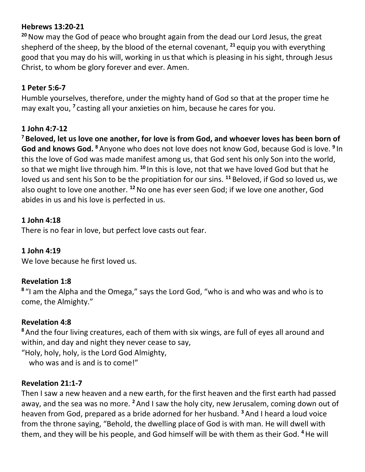### **Hebrews 13:20-21**

**<sup>20</sup>**Now may the God of peace who brought again from the dead our Lord Jesus, the great shepherd of the sheep, by the blood of the eternal covenant, **<sup>21</sup>** equip you with everything good that you may do his will, working in usthat which is pleasing in his sight, through Jesus Christ, to whom be glory forever and ever. Amen.

### **1 Peter 5:6-7**

Humble yourselves, therefore, under the mighty hand of God so that at the proper time he may exalt you, <sup>7</sup> casting all your anxieties on him, because he cares for you.

### **1 John 4:7-12**

**<sup>7</sup> Beloved, let us love one another, for love is from God, and whoever loves has been born of God and knows God. <sup>8</sup>** Anyone who does not love does not know God, because God is love. **<sup>9</sup>** In this the love of God was made manifest among us, that God sent his only Son into the world, so that we might live through him. **<sup>10</sup>** In this is love, not that we have loved God but that he loved us and sent his Son to be the propitiation for our sins. **<sup>11</sup>** Beloved, if God so loved us, we also ought to love one another. **<sup>12</sup>**No one has ever seen God; if we love one another, God abides in us and his love is perfected in us.

### **1 John 4:18**

There is no fear in love, but perfect love casts out fear.

### **1 John 4:19**

We love because he first loved us.

### **Revelation 1:8**

<sup>8</sup> "I am the Alpha and the Omega," says the Lord God, "who is and who was and who is to come, the Almighty."

### **Revelation 4:8**

**<sup>8</sup>** And the four living creatures, each of them with six wings, are full of eyes all around and within, and day and night they never cease to say,

"Holy, holy, holy, is the Lord God Almighty,

who was and is and is to come!"

### **Revelation 21:1-7**

Then I saw a new heaven and a new earth, for the first heaven and the first earth had passed away, and the sea was no more. **<sup>2</sup>** And I saw the holy city, new Jerusalem, coming down out of heaven from God, prepared as a bride adorned for her husband. **<sup>3</sup>** And I heard a loud voice from the throne saying, "Behold, the dwelling place of God is with man. He will dwell with them, and they will be his people, and God himself will be with them as their God. **<sup>4</sup>**He will